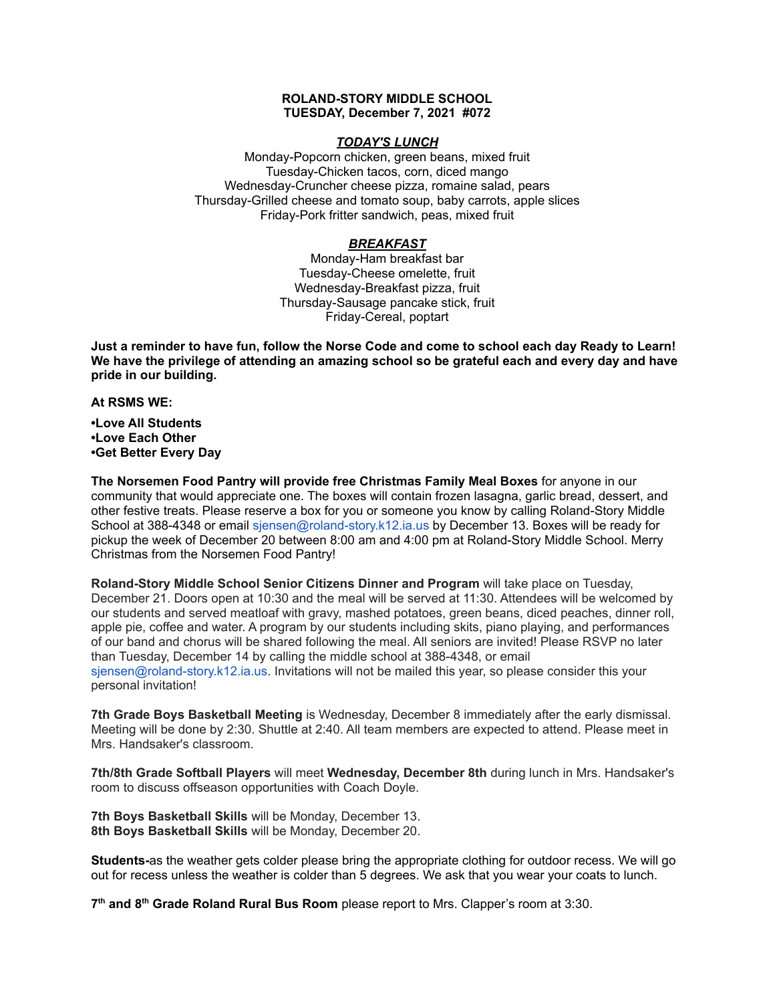## **ROLAND-STORY MIDDLE SCHOOL TUESDAY, December 7, 2021 #072**

## *TODAY'S LUNCH*

Monday-Popcorn chicken, green beans, mixed fruit Tuesday-Chicken tacos, corn, diced mango Wednesday-Cruncher cheese pizza, romaine salad, pears Thursday-Grilled cheese and tomato soup, baby carrots, apple slices Friday-Pork fritter sandwich, peas, mixed fruit

# *BREAKFAST*

Monday-Ham breakfast bar Tuesday-Cheese omelette, fruit Wednesday-Breakfast pizza, fruit Thursday-Sausage pancake stick, fruit Friday-Cereal, poptart

Just a reminder to have fun, follow the Norse Code and come to school each day Ready to Learn! **We have the privilege of attending an amazing school so be grateful each and every day and have pride in our building.**

**At RSMS WE:**

**•Love All Students •Love Each Other •Get Better Every Day**

**The Norsemen Food Pantry will provide free Christmas Family Meal Boxes** for anyone in our community that would appreciate one. The boxes will contain frozen lasagna, garlic bread, dessert, and other festive treats. Please reserve a box for you or someone you know by calling Roland-Story Middle School at 388-4348 or email sjensen@roland-story.k12.ia.us by December 13. Boxes will be ready for pickup the week of December 20 between 8:00 am and 4:00 pm at Roland-Story Middle School. Merry Christmas from the Norsemen Food Pantry!

**Roland-Story Middle School Senior Citizens Dinner and Program** will take place on Tuesday, December 21. Doors open at 10:30 and the meal will be served at 11:30. Attendees will be welcomed by our students and served meatloaf with gravy, mashed potatoes, green beans, diced peaches, dinner roll, apple pie, coffee and water. A program by our students including skits, piano playing, and performances of our band and chorus will be shared following the meal. All seniors are invited! Please RSVP no later than Tuesday, December 14 by calling the middle school at 388-4348, or email sjensen@roland-story.k12.ia.us. Invitations will not be mailed this year, so please consider this your personal invitation!

**7th Grade Boys Basketball Meeting** is Wednesday, December 8 immediately after the early dismissal. Meeting will be done by 2:30. Shuttle at 2:40. All team members are expected to attend. Please meet in Mrs. Handsaker's classroom.

**7th/8th Grade Softball Players** will meet **Wednesday, December 8th** during lunch in Mrs. Handsaker's room to discuss offseason opportunities with Coach Doyle.

**7th Boys Basketball Skills** will be Monday, December 13. **8th Boys Basketball Skills** will be Monday, December 20.

**Students-**as the weather gets colder please bring the appropriate clothing for outdoor recess. We will go out for recess unless the weather is colder than 5 degrees. We ask that you wear your coats to lunch.

**7 th and 8 th Grade Roland Rural Bus Room** please report to Mrs. Clapper's room at 3:30.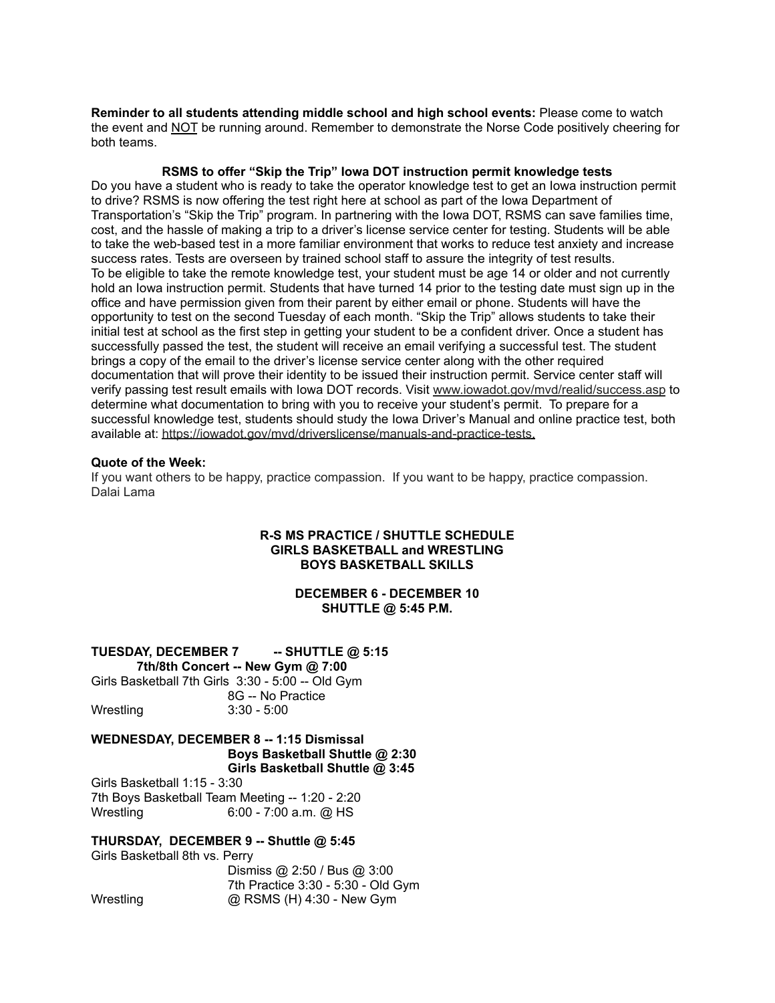**Reminder to all students attending middle school and high school events:** Please come to watch the event and NOT be running around. Remember to demonstrate the Norse Code positively cheering for both teams.

## **RSMS to offer "Skip the Trip" Iowa DOT instruction permit knowledge tests**

Do you have a student who is ready to take the operator knowledge test to get an Iowa instruction permit to drive? RSMS is now offering the test right here at school as part of the Iowa Department of Transportation's "Skip the Trip" program. In partnering with the Iowa DOT, RSMS can save families time, cost, and the hassle of making a trip to a driver's license service center for testing. Students will be able to take the web-based test in a more familiar environment that works to reduce test anxiety and increase success rates. Tests are overseen by trained school staff to assure the integrity of test results. To be eligible to take the remote knowledge test, your student must be age 14 or older and not currently hold an Iowa instruction permit. Students that have turned 14 prior to the testing date must sign up in the office and have permission given from their parent by either email or phone. Students will have the opportunity to test on the second Tuesday of each month. "Skip the Trip" allows students to take their initial test at school as the first step in getting your student to be a confident driver. Once a student has successfully passed the test, the student will receive an email verifying a successful test. The student brings a copy of the email to the driver's license service center along with the other required documentation that will prove their identity to be issued their instruction permit. Service center staff will verify passing test result emails with Iowa DOT records. Visit [www.iowadot.gov/mvd/realid/success.asp](http://www.iowadot.gov/mvd/realid/success.asp) to determine what documentation to bring with you to receive your student's permit. To prepare for a successful knowledge test, students should study the Iowa Driver's Manual and online practice test, both available at: <https://iowadot.gov/mvd/driverslicense/manuals-and-practice-tests>.

#### **Quote of the Week:**

If you want others to be happy, practice compassion. If you want to be happy, practice compassion. Dalai Lama

## **R-S MS PRACTICE / SHUTTLE SCHEDULE GIRLS BASKETBALL and WRESTLING BOYS BASKETBALL SKILLS**

# **DECEMBER 6 - DECEMBER 10 SHUTTLE @ 5:45 P.M.**

# **TUESDAY, DECEMBER 7 -- SHUTTLE @ 5:15**

**7th/8th Concert -- New Gym @ 7:00** Girls Basketball 7th Girls 3:30 - 5:00 -- Old Gym 8G -- No Practice Wrestling 3:30 - 5:00

#### **WEDNESDAY, DECEMBER 8 -- 1:15 Dismissal Boys Basketball Shuttle @ 2:30 Girls Basketball Shuttle @ 3:45**

Girls Basketball 1:15 - 3:30 7th Boys Basketball Team Meeting -- 1:20 - 2:20 Wrestling 6:00 - 7:00 a.m. @ HS

# **THURSDAY, DECEMBER 9 -- Shuttle @ 5:45**

Girls Basketball 8th vs. Perry Dismiss @ 2:50 / Bus @ 3:00 7th Practice 3:30 - 5:30 - Old Gym Wrestling **@ RSMS (H) 4:30 - New Gym**